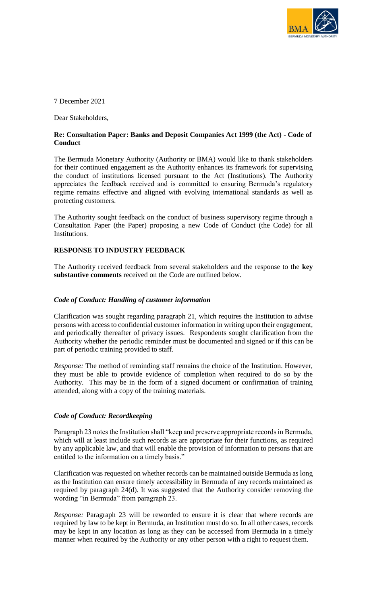

7 December 2021

Dear Stakeholders,

# **Re: Consultation Paper: Banks and Deposit Companies Act 1999 (the Act) - Code of Conduct**

The Bermuda Monetary Authority (Authority or BMA) would like to thank stakeholders for their continued engagement as the Authority enhances its framework for supervising the conduct of institutions licensed pursuant to the Act (Institutions). The Authority appreciates the feedback received and is committed to ensuring Bermuda's regulatory regime remains effective and aligned with evolving international standards as well as protecting customers.

The Authority sought feedback on the conduct of business supervisory regime through a Consultation Paper (the Paper) proposing a new Code of Conduct (the Code) for all Institutions.

# **RESPONSE TO INDUSTRY FEEDBACK**

The Authority received feedback from several stakeholders and the response to the **key substantive comments** received on the Code are outlined below.

#### *Code of Conduct: Handling of customer information*

Clarification was sought regarding paragraph 21, which requires the Institution to advise persons with access to confidential customer information in writing upon their engagement, and periodically thereafter of privacy issues. Respondents sought clarification from the Authority whether the periodic reminder must be documented and signed or if this can be part of periodic training provided to staff.

*Response:* The method of reminding staff remains the choice of the Institution. However, they must be able to provide evidence of completion when required to do so by the Authority. This may be in the form of a signed document or confirmation of training attended, along with a copy of the training materials.

## *Code of Conduct: Recordkeeping*

Paragraph 23 notes the Institution shall "keep and preserve appropriate records in Bermuda, which will at least include such records as are appropriate for their functions, as required by any applicable law, and that will enable the provision of information to persons that are entitled to the information on a timely basis."

Clarification was requested on whether records can be maintained outside Bermuda as long as the Institution can ensure timely accessibility in Bermuda of any records maintained as required by paragraph 24(d). It was suggested that the Authority consider removing the wording "in Bermuda" from paragraph 23.

*Response:* Paragraph 23 will be reworded to ensure it is clear that where records are required by law to be kept in Bermuda, an Institution must do so. In all other cases, records may be kept in any location as long as they can be accessed from Bermuda in a timely manner when required by the Authority or any other person with a right to request them.